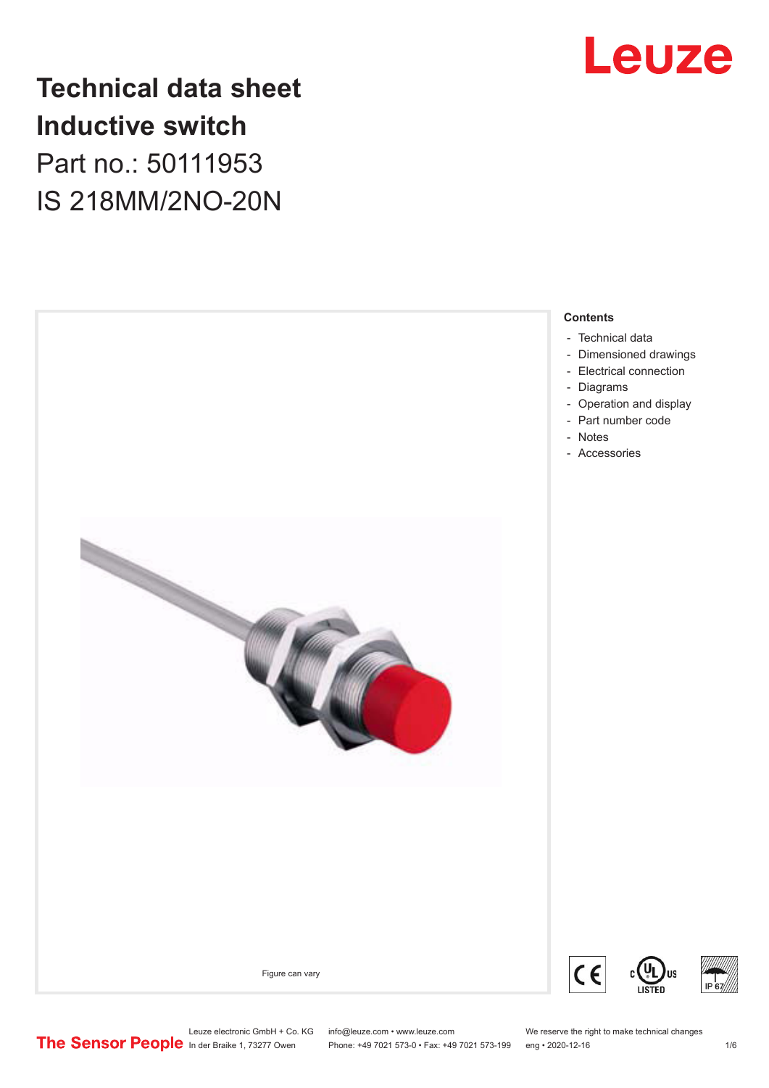

# **Technical data sheet Inductive switch** Part no.: 50111953 IS 218MM/2NO-20N



Leuze electronic GmbH + Co. KG info@leuze.com • www.leuze.com We reserve the right to make technical changes<br>
The Sensor People in der Braike 1, 73277 Owen Phone: +49 7021 573-0 • Fax: +49 7021 573-199 eng • 2020-12-16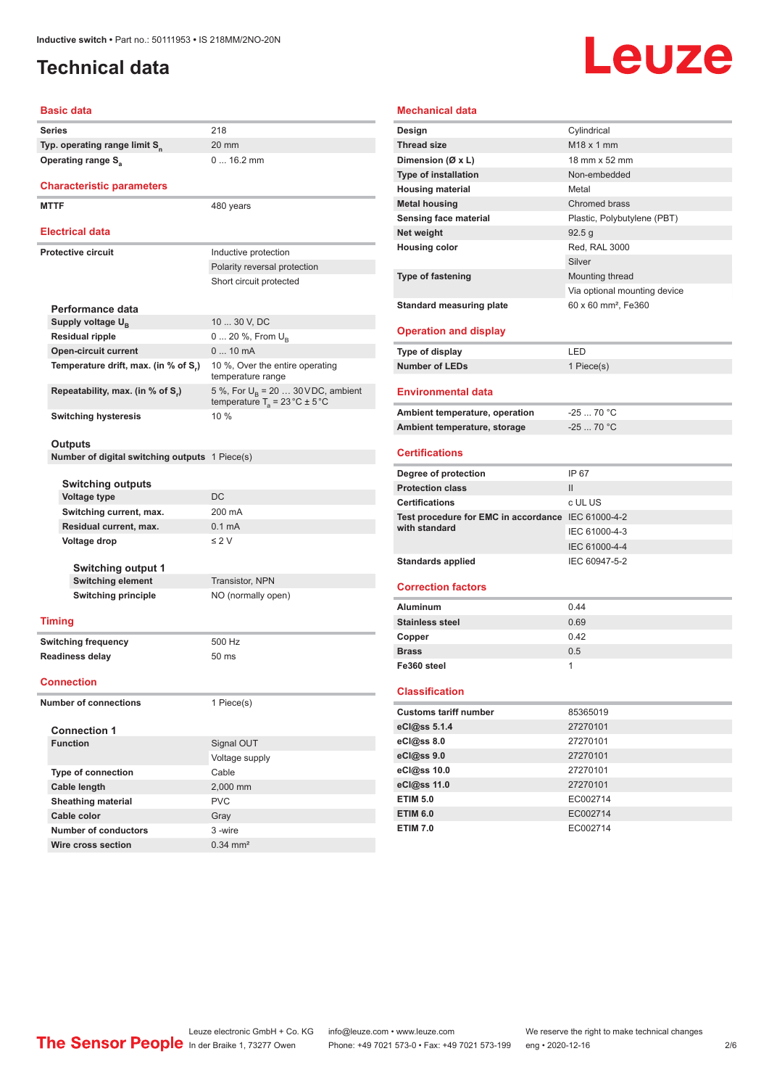# <span id="page-1-0"></span>**Technical data**

# Leuze

### **Basic data**

| Series                                    | 218             |
|-------------------------------------------|-----------------|
| Typ. operating range limit S <sub>n</sub> | 20 <sub>1</sub> |
| <b>Operating range S<sub>2</sub></b>      |                 |

### **Characteristic parameters**

MTTF 480 years

### **Electrical data**

| Electrical data                      |                                                                                                |
|--------------------------------------|------------------------------------------------------------------------------------------------|
| Protective circuit                   | Inductive protection                                                                           |
|                                      | Polarity reversal protection                                                                   |
|                                      | Short circuit protected                                                                        |
|                                      |                                                                                                |
| Performance data                     |                                                                                                |
| Supply voltage U <sub>n</sub>        | 10  30 V, DC                                                                                   |
| <b>Residual ripple</b>               | $0 20 \%$ , From $U_{\rm B}$                                                                   |
| <b>Open-circuit current</b>          | $010$ mA                                                                                       |
| Temperature drift, max. (in % of S.) | 10 %, Over the entire operating<br>temperature range                                           |
| Repeatability, max. (in % of S.)     | 5 %, For $U_{\rm B}$ = 20  30 VDC, ambient<br>temperature $T_a = 23 \degree C \pm 5 \degree C$ |
| <b>Switching hysteresis</b>          | 10%                                                                                            |

20 mm

0 ... 16.2 mm

### **Outputs**

**Number of digital switching outputs** 1 Piece(s)

| <b>Switching outputs</b>  |                    |  |
|---------------------------|--------------------|--|
| <b>Voltage type</b>       | <b>DC</b>          |  |
| Switching current, max.   | 200 mA             |  |
| Residual current, max.    | $0.1 \text{ mA}$   |  |
| Voltage drop              | $\leq$ 2 V         |  |
| <b>Switching output 1</b> |                    |  |
| <b>Switching element</b>  | Transistor, NPN    |  |
| Switching principle       | NO (normally open) |  |
| minn                      |                    |  |

### **Timing**

**Switching frequency** 500 Hz **Readiness delay** 50 ms

### **Connection**

**Number of connections** 1 Piece(s)

| <b>Connection 1</b>       |                       |  |  |
|---------------------------|-----------------------|--|--|
| <b>Function</b>           | Signal OUT            |  |  |
|                           | Voltage supply        |  |  |
| <b>Type of connection</b> | Cable                 |  |  |
| Cable length              | 2,000 mm              |  |  |
| <b>Sheathing material</b> | <b>PVC</b>            |  |  |
| Cable color               | Gray                  |  |  |
| Number of conductors      | 3-wire                |  |  |
| Wire cross section        | $0.34 \, \text{mm}^2$ |  |  |

### **Design** Cylindrical **Thread size** M18 x 1 mm

**Mechanical data**

| Dimension (Ø x L)                                  | 18 mm x 52 mm                   |
|----------------------------------------------------|---------------------------------|
| <b>Type of installation</b>                        | Non-embedded                    |
| <b>Housing material</b>                            | Metal                           |
| <b>Metal housing</b>                               | Chromed brass                   |
| <b>Sensing face material</b>                       | Plastic, Polybutylene (PBT)     |
| Net weight                                         | 92.5 g                          |
| <b>Housing color</b>                               | Red, RAL 3000                   |
|                                                    | Silver                          |
| <b>Type of fastening</b>                           | Mounting thread                 |
|                                                    | Via optional mounting device    |
| <b>Standard measuring plate</b>                    | 60 x 60 mm <sup>2</sup> , Fe360 |
| <b>Operation and display</b>                       |                                 |
| Type of display                                    | LED                             |
| <b>Number of LEDs</b>                              | 1 Piece(s)                      |
|                                                    |                                 |
| <b>Environmental data</b>                          |                                 |
| Ambient temperature, operation                     | $-2570 °C$                      |
| Ambient temperature, storage                       | $-2570 °C$                      |
|                                                    |                                 |
| <b>Certifications</b>                              |                                 |
| Degree of protection                               | IP 67                           |
| <b>Protection class</b>                            | $\mathbf{H}$                    |
| <b>Certifications</b>                              | c UL US                         |
| Test procedure for EMC in accordance IEC 61000-4-2 |                                 |
| with standard                                      | IEC 61000-4-3                   |
|                                                    | IEC 61000-4-4                   |
| <b>Standards applied</b>                           | IEC 60947-5-2                   |
| <b>Correction factors</b>                          |                                 |
| <b>Aluminum</b>                                    | 0.44                            |
| <b>Stainless steel</b>                             | 0.69                            |
| Copper                                             | 0.42                            |
| <b>Brass</b>                                       | 0.5                             |
| Fe360 steel                                        | 1                               |
|                                                    |                                 |
| <b>Classification</b>                              |                                 |
| <b>Customs tariff number</b>                       | 85365019                        |
|                                                    | 27270101                        |
| eCl@ss 8.0                                         | 27270101                        |
| eCl@ss 9.0                                         | 27270101                        |
| eCl@ss 10.0                                        | 27270101                        |
| eCl@ss 11.0                                        | 27270101                        |
| <b>ETIM 5.0</b>                                    | EC002714                        |
| <b>ETIM 6.0</b>                                    | EC002714                        |
|                                                    | EC002714                        |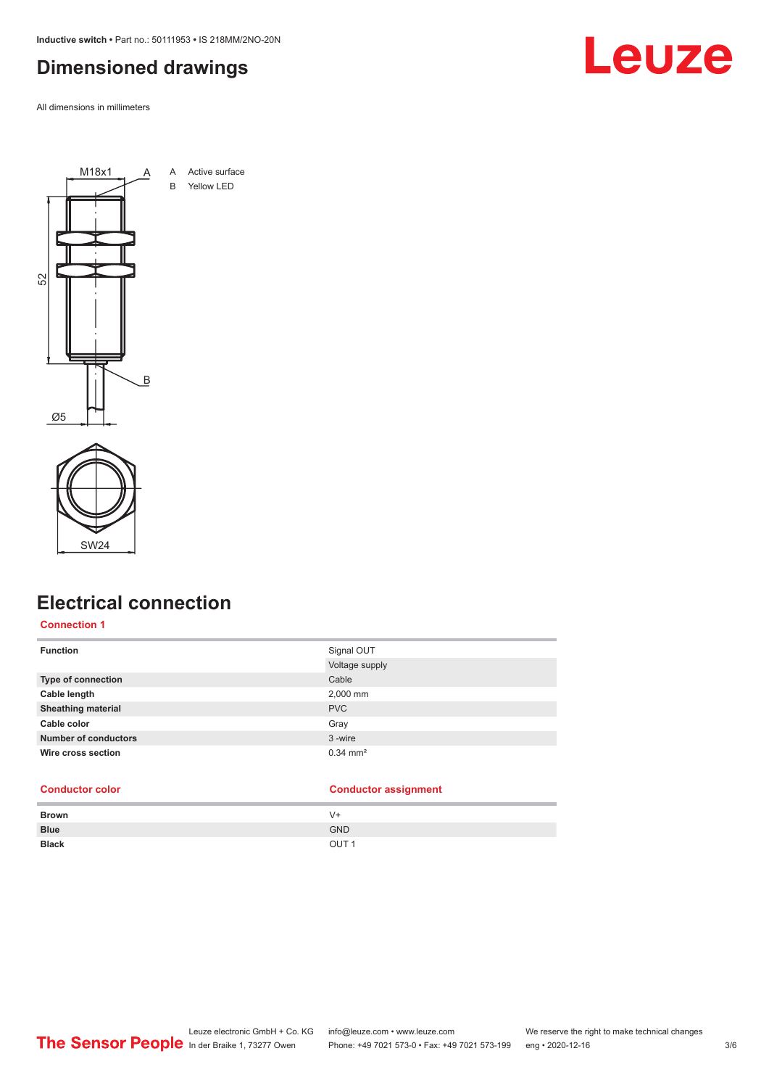<span id="page-2-0"></span>**Inductive switch •** Part no.: 50111953 **•** IS 218MM/2NO-20N

# **Dimensioned drawings**

All dimensions in millimeters





# **Electrical connection**

### **Connection 1**

| <b>Function</b>             | Signal OUT<br>Voltage supply |
|-----------------------------|------------------------------|
| <b>Type of connection</b>   | Cable                        |
| Cable length                | 2,000 mm                     |
| <b>Sheathing material</b>   | <b>PVC</b>                   |
| Cable color                 | Gray                         |
| <b>Number of conductors</b> | 3-wire                       |
| Wire cross section          | $0.34 \, \text{mm}^2$        |

### **Conductor color Conductor assignment**

| <b>Brown</b> | V+               |
|--------------|------------------|
| <b>Blue</b>  | <b>GND</b>       |
| <b>Black</b> | OUT <sub>1</sub> |



Leuze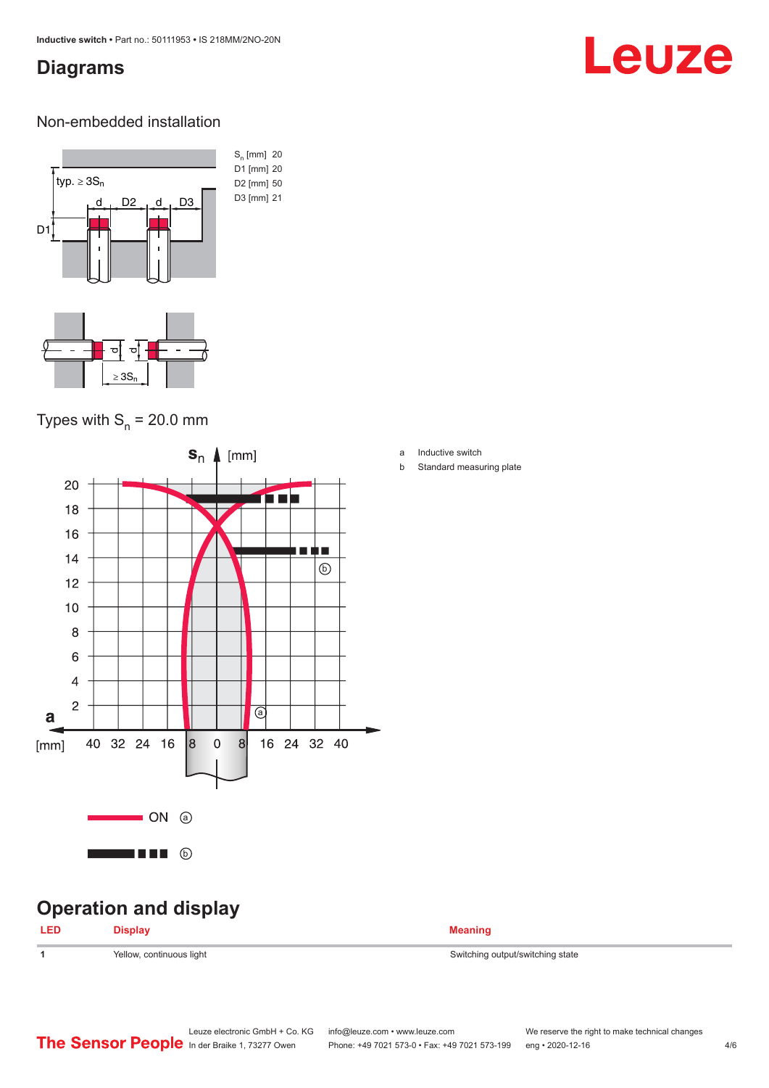# <span id="page-3-0"></span>**Diagrams**

# Leuze

### Non-embedded installation



# Types with  $S_n = 20.0$  mm



# **Operation and display**

| <b>LED</b> | <b>Display</b>           | <b>Meaning</b>                   |
|------------|--------------------------|----------------------------------|
|            | Yellow, continuous light | Switching output/switching state |

- a Inductive switch
- b Standard measuring plate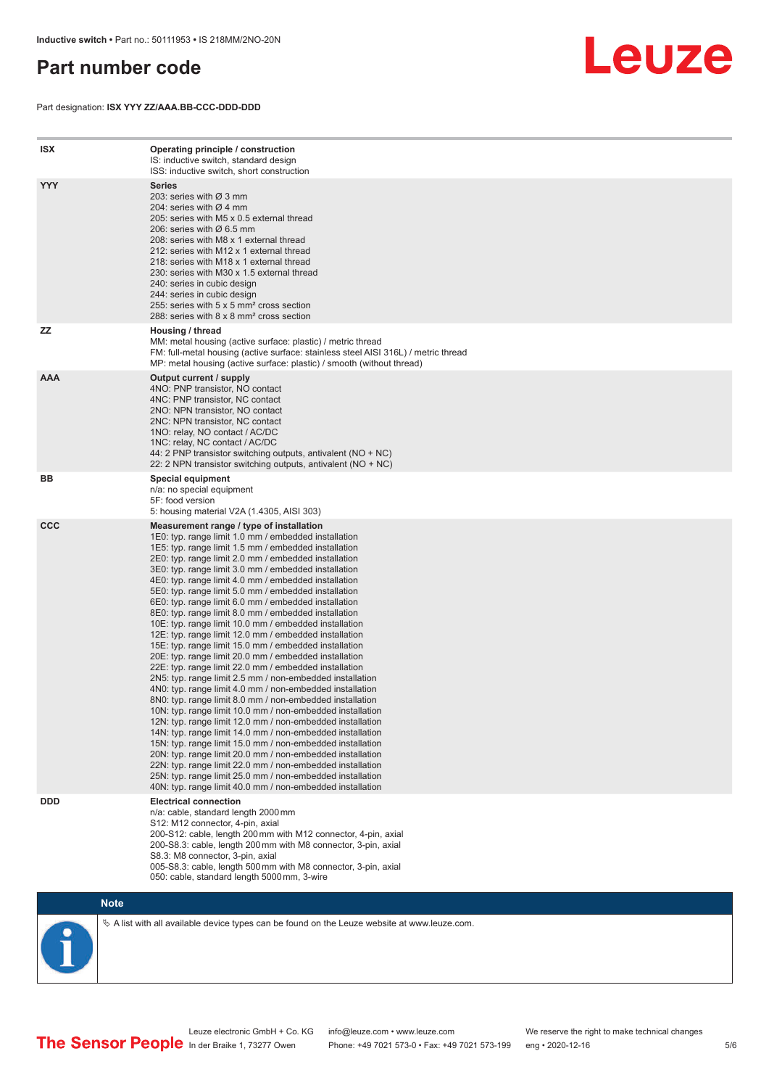# <span id="page-4-0"></span>**Part number code**

Part designation: **ISX YYY ZZ/AAA.BB-CCC-DDD-DDD**



| <b>ISX</b> | Operating principle / construction<br>IS: inductive switch, standard design<br>ISS: inductive switch, short construction                                                                                                                                                                                                                                                                                                                                                                                                                                                                                                                                                                                                                                                                                                                                                                                                                                                                                                                                                                                                                                                                                                                                                                                                                                                                                                                                                                          |
|------------|---------------------------------------------------------------------------------------------------------------------------------------------------------------------------------------------------------------------------------------------------------------------------------------------------------------------------------------------------------------------------------------------------------------------------------------------------------------------------------------------------------------------------------------------------------------------------------------------------------------------------------------------------------------------------------------------------------------------------------------------------------------------------------------------------------------------------------------------------------------------------------------------------------------------------------------------------------------------------------------------------------------------------------------------------------------------------------------------------------------------------------------------------------------------------------------------------------------------------------------------------------------------------------------------------------------------------------------------------------------------------------------------------------------------------------------------------------------------------------------------------|
| <b>YYY</b> | <b>Series</b><br>203: series with Ø 3 mm<br>204: series with $Ø$ 4 mm<br>205: series with M5 x 0.5 external thread<br>206: series with Ø 6.5 mm<br>208: series with M8 x 1 external thread<br>212: series with M12 x 1 external thread<br>218: series with M18 x 1 external thread<br>230: series with M30 x 1.5 external thread<br>240: series in cubic design<br>244: series in cubic design<br>255: series with 5 x 5 mm <sup>2</sup> cross section<br>288: series with 8 x 8 mm <sup>2</sup> cross section                                                                                                                                                                                                                                                                                                                                                                                                                                                                                                                                                                                                                                                                                                                                                                                                                                                                                                                                                                                    |
| ZZ         | Housing / thread<br>MM: metal housing (active surface: plastic) / metric thread<br>FM: full-metal housing (active surface: stainless steel AISI 316L) / metric thread<br>MP: metal housing (active surface: plastic) / smooth (without thread)                                                                                                                                                                                                                                                                                                                                                                                                                                                                                                                                                                                                                                                                                                                                                                                                                                                                                                                                                                                                                                                                                                                                                                                                                                                    |
| <b>AAA</b> | Output current / supply<br>4NO: PNP transistor, NO contact<br>4NC: PNP transistor, NC contact<br>2NO: NPN transistor, NO contact<br>2NC: NPN transistor, NC contact<br>1NO: relay, NO contact / AC/DC<br>1NC: relay, NC contact / AC/DC<br>44: 2 PNP transistor switching outputs, antivalent (NO + NC)<br>22: 2 NPN transistor switching outputs, antivalent (NO + NC)                                                                                                                                                                                                                                                                                                                                                                                                                                                                                                                                                                                                                                                                                                                                                                                                                                                                                                                                                                                                                                                                                                                           |
| ВB         | <b>Special equipment</b><br>n/a: no special equipment<br>5F: food version<br>5: housing material V2A (1.4305, AISI 303)                                                                                                                                                                                                                                                                                                                                                                                                                                                                                                                                                                                                                                                                                                                                                                                                                                                                                                                                                                                                                                                                                                                                                                                                                                                                                                                                                                           |
| <b>CCC</b> | Measurement range / type of installation<br>1E0: typ. range limit 1.0 mm / embedded installation<br>1E5: typ. range limit 1.5 mm / embedded installation<br>2E0: typ. range limit 2.0 mm / embedded installation<br>3E0: typ. range limit 3.0 mm / embedded installation<br>4E0: typ. range limit 4.0 mm / embedded installation<br>5E0: typ. range limit 5.0 mm / embedded installation<br>6E0: typ. range limit 6.0 mm / embedded installation<br>8E0: typ. range limit 8.0 mm / embedded installation<br>10E: typ. range limit 10.0 mm / embedded installation<br>12E: typ. range limit 12.0 mm / embedded installation<br>15E: typ. range limit 15.0 mm / embedded installation<br>20E: typ. range limit 20.0 mm / embedded installation<br>22E: typ. range limit 22.0 mm / embedded installation<br>2N5: typ. range limit 2.5 mm / non-embedded installation<br>4N0: typ. range limit 4.0 mm / non-embedded installation<br>8NO: typ. range limit 8.0 mm / non-embedded installation<br>10N: typ. range limit 10.0 mm / non-embedded installation<br>12N: typ. range limit 12.0 mm / non-embedded installation<br>14N: typ. range limit 14.0 mm / non-embedded installation<br>15N: typ. range limit 15.0 mm / non-embedded installation<br>20N: typ. range limit 20.0 mm / non-embedded installation<br>22N: typ. range limit 22.0 mm / non-embedded installation<br>25N: typ. range limit 25.0 mm / non-embedded installation<br>40N: typ. range limit 40.0 mm / non-embedded installation |
| <b>DDD</b> | <b>Electrical connection</b><br>n/a: cable, standard length 2000 mm<br>S12: M12 connector, 4-pin, axial<br>200-S12: cable, length 200 mm with M12 connector, 4-pin, axial<br>200-S8.3: cable, length 200 mm with M8 connector, 3-pin, axial<br>S8.3: M8 connector, 3-pin, axial<br>005-S8.3: cable, length 500 mm with M8 connector, 3-pin, axial<br>050: cable, standard length 5000 mm, 3-wire                                                                                                                                                                                                                                                                                                                                                                                                                                                                                                                                                                                                                                                                                                                                                                                                                                                                                                                                                                                                                                                                                                  |

**Note**

 $\%$  A list with all available device types can be found on the Leuze website at www.leuze.com.

Leuze electronic GmbH + Co. KG info@leuze.com • www.leuze.com We reserve the right to make technical changes In der Braike 1, 73277 Owen Phone: +49 7021 573-0 • Fax: +49 7021 573-199 eng • 2020-12-16